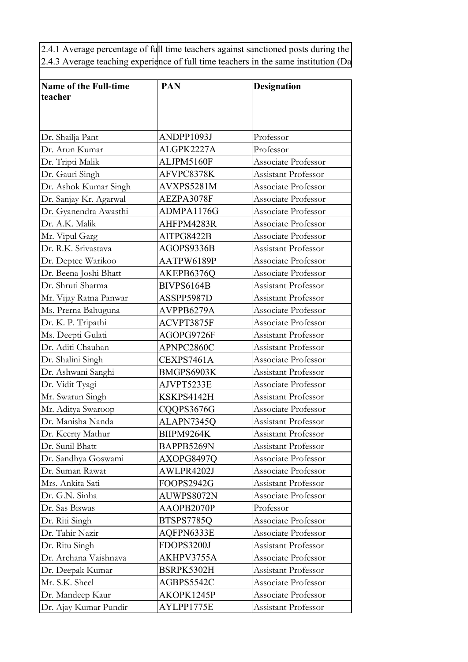2.4.1 Average percentage of full time teachers against sanctioned posts during the  $\vert$ 2.4.3 Average teaching experience of full time teachers in the same institution (Da

| <b>Name of the Full-time</b>                | <b>PAN</b>               | <b>Designation</b>         |  |
|---------------------------------------------|--------------------------|----------------------------|--|
| teacher                                     |                          |                            |  |
|                                             |                          |                            |  |
| Dr. Shailja Pant                            | ANDPP1093J               | Professor                  |  |
| Dr. Arun Kumar                              | ALGPK2227A               | Professor                  |  |
| Dr. Tripti Malik                            | ALJPM5160F               | Associate Professor        |  |
| Dr. Gauri Singh                             | AFVPC8378K               | Assistant Professor        |  |
| Dr. Ashok Kumar Singh                       | AVXPS5281M               | Associate Professor        |  |
| Dr. Sanjay Kr. Agarwal                      | AEZPA3078F               | Associate Professor        |  |
| Dr. Gyanendra Awasthi                       | ADMPA1176G               | Associate Professor        |  |
| Dr. A.K. Malik                              | AHFPM4283R               | Associate Professor        |  |
| Mr. Vipul Garg                              | AITPG8422B               | Associate Professor        |  |
| Dr. R.K. Srivastava                         | AGOPS9336B               | Assistant Professor        |  |
|                                             | AATPW6189P               | Associate Professor        |  |
| Dr. Deptee Warikoo<br>Dr. Beena Joshi Bhatt |                          | Associate Professor        |  |
| Dr. Shruti Sharma                           | AKEPB6376Q<br>BIVPS6164B | Assistant Professor        |  |
|                                             |                          |                            |  |
| Mr. Vijay Ratna Panwar                      | ASSPP5987D               | Assistant Professor        |  |
| Ms. Prerna Bahuguna                         | AVPPB6279A               | Associate Professor        |  |
| Dr. K. P. Tripathi                          | ACVPT3875F               | Associate Professor        |  |
| Ms. Deepti Gulati                           | AGOPG9726F               | <b>Assistant Professor</b> |  |
| Dr. Aditi Chauhan                           | APNPC2860C               | Assistant Professor        |  |
| Dr. Shalini Singh                           | CEXPS7461A               | Associate Professor        |  |
| Dr. Ashwani Sanghi                          | BMGPS6903K               | <b>Assistant Professor</b> |  |
| Dr. Vidit Tyagi                             | AJVPT5233E               | Associate Professor        |  |
| Mr. Swarun Singh                            | KSKPS4142H               | Assistant Professor        |  |
| Mr. Aditya Swaroop                          | CQQPS3676G               | Associate Professor        |  |
| Dr. Manisha Nanda                           | ALAPN7345Q               | Assistant Professor        |  |
| Dr. Keerty Mathur                           | BIIPM9264K               | Assistant Professor        |  |
| Dr. Sunil Bhatt                             | BAPPB5269N               | Assistant Professor        |  |
| Dr. Sandhya Goswami                         | AXOPG8497Q               | Associate Professor        |  |
| Dr. Suman Rawat                             | AWLPR4202J               | Associate Professor        |  |
| Mrs. Ankita Sati                            | FOOPS2942G               | Assistant Professor        |  |
| Dr. G.N. Sinha                              | AUWPS8072N               | Associate Professor        |  |
| Dr. Sas Biswas                              | AAOPB2070P               | Professor                  |  |
| Dr. Riti Singh                              | BTSPS7785Q               | Associate Professor        |  |
| Dr. Tahir Nazir                             | AQFPN6333E               | Associate Professor        |  |
| Dr. Ritu Singh                              | <b>FDOPS3200J</b>        | Assistant Professor        |  |
| Dr. Archana Vaishnava                       | AKHPV3755A               | Associate Professor        |  |
| Dr. Deepak Kumar                            | BSRPK5302H               | Assistant Professor        |  |
| Mr. S.K. Sheel                              | AGBPS5542C               | Associate Professor        |  |
| Dr. Mandeep Kaur                            | AKOPK1245P               | Associate Professor        |  |
| Dr. Ajay Kumar Pundir                       | AYLPP1775E               | Assistant Professor        |  |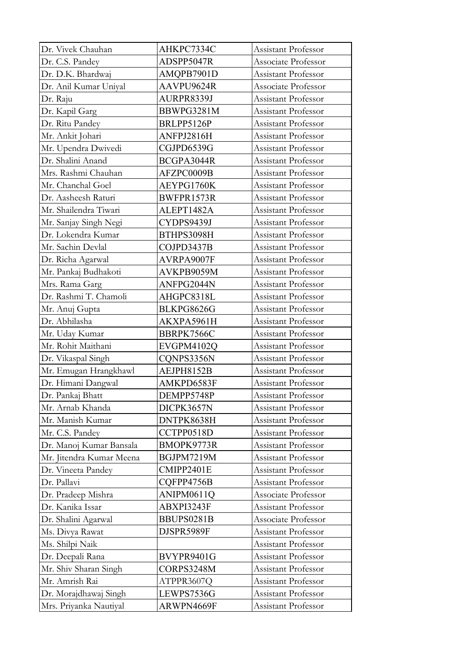| Dr. Vivek Chauhan        | AHKPC7334C | Assistant Professor        |
|--------------------------|------------|----------------------------|
| Dr. C.S. Pandey          | ADSPP5047R | Associate Professor        |
| Dr. D.K. Bhardwaj        | AMQPB7901D | Assistant Professor        |
| Dr. Anil Kumar Uniyal    | AAVPU9624R | Associate Professor        |
| Dr. Raju                 | AURPR8339J | Assistant Professor        |
| Dr. Kapil Garg           | BBWPG3281M | Assistant Professor        |
| Dr. Ritu Pandey          | BRLPP5126P | Assistant Professor        |
| Mr. Ankit Johari         | ANFPJ2816H | Assistant Professor        |
| Mr. Upendra Dwivedi      | CGJPD6539G | Assistant Professor        |
| Dr. Shalini Anand        | BCGPA3044R | Assistant Professor        |
| Mrs. Rashmi Chauhan      | AFZPC0009B | <b>Assistant Professor</b> |
| Mr. Chanchal Goel        | AEYPG1760K | Assistant Professor        |
| Dr. Aasheesh Raturi      | BWFPR1573R | Assistant Professor        |
| Mr. Shailendra Tiwari    | ALEPT1482A | <b>Assistant Professor</b> |
| Mr. Sanjay Singh Negi    | CYDPS9439J | Assistant Professor        |
| Dr. Lokendra Kumar       | BTHPS3098H | Assistant Professor        |
| Mr. Sachin Devlal        | COJPD3437B | Assistant Professor        |
| Dr. Richa Agarwal        | AVRPA9007F | Assistant Professor        |
| Mr. Pankaj Budhakoti     | AVKPB9059M | Assistant Professor        |
| Mrs. Rama Garg           | ANFPG2044N | Assistant Professor        |
| Dr. Rashmi T. Chamoli    | AHGPC8318L | Assistant Professor        |
| Mr. Anuj Gupta           | BLKPG8626G | <b>Assistant Professor</b> |
| Dr. Abhilasha            | AKXPA5961H | Assistant Professor        |
| Mr. Uday Kumar           | BBRPK7566C | Assistant Professor        |
| Mr. Rohit Maithani       | EVGPM4102Q | Assistant Professor        |
| Dr. Vikaspal Singh       | CQNPS3356N | Assistant Professor        |
| Mr. Emugan Hrangkhawl    | AEJPH8152B | <b>Assistant Professor</b> |
| Dr. Himani Dangwal       | AMKPD6583F | Assistant Professor        |
| Dr. Pankaj Bhatt         | DEMPP5748P | Assistant Professor        |
| Mr. Arnab Khanda         | DICPK3657N | Assistant Professor        |
| Mr. Manish Kumar         | DNTPK8638H | Assistant Professor        |
| Mr. C.S. Pandey          | CCTPP0518D | Assistant Professor        |
| Dr. Manoj Kumar Bansala  | BMOPK9773R | Assistant Professor        |
| Mr. Jitendra Kumar Meena | BGJPM7219M | Assistant Professor        |
| Dr. Vineeta Pandey       | CMIPP2401E | Assistant Professor        |
| Dr. Pallavi              | CQFPP4756B | Assistant Professor        |
| Dr. Pradeep Mishra       | ANIPM0611Q | Associate Professor        |
| Dr. Kanika Issar         | ABXPI3243F | Assistant Professor        |
| Dr. Shalini Agarwal      | BBUPS0281B | Associate Professor        |
| Ms. Divya Rawat          | DJSPR5989F | Assistant Professor        |
| Ms. Shilpi Naik          |            | Assistant Professor        |
| Dr. Deepali Rana         | BVYPR9401G | Assistant Professor        |
| Mr. Shiv Sharan Singh    | CORPS3248M | Assistant Professor        |
| Mr. Amrish Rai           | ATPPR3607Q | Assistant Professor        |
| Dr. Morajdhawaj Singh    | LEWPS7536G | Assistant Professor        |
| Mrs. Priyanka Nautiyal   | ARWPN4669F | Assistant Professor        |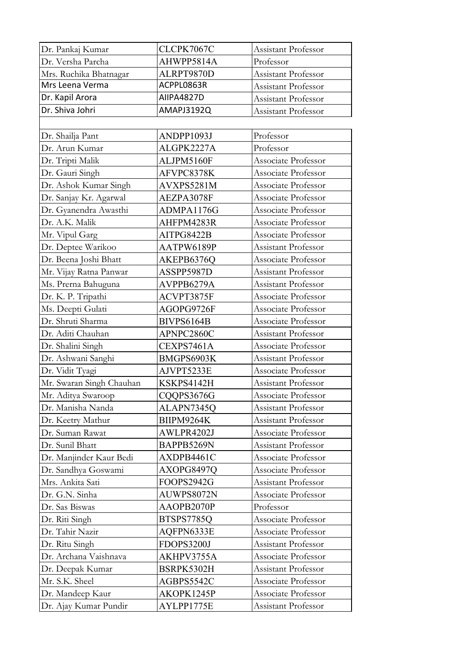| Dr. Pankaj Kumar         | CLCPK7067C        | Assistant Professor        |  |
|--------------------------|-------------------|----------------------------|--|
| Dr. Versha Parcha        | AHWPP5814A        | Professor                  |  |
| Mrs. Ruchika Bhatnagar   | ALRPT9870D        | Assistant Professor        |  |
| Mrs Leena Verma          | ACPPL0863R        | Assistant Professor        |  |
| Dr. Kapil Arora          | AIIPA4827D        | <b>Assistant Professor</b> |  |
| Dr. Shiva Johri          | AMAPJ3192Q        | Assistant Professor        |  |
|                          |                   |                            |  |
| Dr. Shailja Pant         | ANDPP1093J        | Professor                  |  |
| Dr. Arun Kumar           | ALGPK2227A        | Professor                  |  |
| Dr. Tripti Malik         | ALJPM5160F        | Associate Professor        |  |
| Dr. Gauri Singh          | AFVPC8378K        | Associate Professor        |  |
| Dr. Ashok Kumar Singh    | AVXPS5281M        | Associate Professor        |  |
| Dr. Sanjay Kr. Agarwal   | AEZPA3078F        | Associate Professor        |  |
| Dr. Gyanendra Awasthi    | ADMPA1176G        | Associate Professor        |  |
| Dr. A.K. Malik           | AHFPM4283R        | Associate Professor        |  |
| Mr. Vipul Garg           | AITPG8422B        | Associate Professor        |  |
| Dr. Deptee Warikoo       | AATPW6189P        | Assistant Professor        |  |
| Dr. Beena Joshi Bhatt    | AKEPB6376Q        | Associate Professor        |  |
| Mr. Vijay Ratna Panwar   | ASSPP5987D        | <b>Assistant Professor</b> |  |
| Ms. Prerna Bahuguna      | AVPPB6279A        | Assistant Professor        |  |
| Dr. K. P. Tripathi       | ACVPT3875F        | Associate Professor        |  |
|                          |                   | Associate Professor        |  |
| Ms. Deepti Gulati        | AGOPG9726F        |                            |  |
| Dr. Shruti Sharma        | BIVPS6164B        | Associate Professor        |  |
| Dr. Aditi Chauhan        | APNPC2860C        | Assistant Professor        |  |
| Dr. Shalini Singh        | CEXPS7461A        | Associate Professor        |  |
| Dr. Ashwani Sanghi       | BMGPS6903K        | Assistant Professor        |  |
| Dr. Vidit Tyagi          | AJVPT5233E        | Associate Professor        |  |
| Mr. Swaran Singh Chauhan | KSKPS4142H        | Assistant Professor        |  |
| Mr. Aditya Swaroop       | CQQPS3676G        | Associate Professor        |  |
| Dr. Manisha Nanda        | ALAPN7345Q        | Assistant Professor        |  |
| Dr. Keetry Mathur        | BIIPM9264K        | Assistant Professor        |  |
| Dr. Suman Rawat          | AWLPR4202J        | Associate Professor        |  |
| Dr. Sunil Bhatt          | BAPPB5269N        | <b>Assistant Professor</b> |  |
| Dr. Manjinder Kaur Bedi  | AXDPB4461C        | Associate Professor        |  |
| Dr. Sandhya Goswami      | AXOPG8497Q        | Associate Professor        |  |
| Mrs. Ankita Sati         | FOOPS2942G        | Assistant Professor        |  |
| Dr. G.N. Sinha           | AUWPS8072N        | Associate Professor        |  |
| Dr. Sas Biswas           | AAOPB2070P        | Professor                  |  |
| Dr. Riti Singh           | BTSPS7785Q        | Associate Professor        |  |
| Dr. Tahir Nazir          | AQFPN6333E        | Associate Professor        |  |
| Dr. Ritu Singh           | <b>FDOPS3200J</b> | Assistant Professor        |  |
| Dr. Archana Vaishnava    | AKHPV3755A        | Associate Professor        |  |
| Dr. Deepak Kumar         | BSRPK5302H        | Assistant Professor        |  |
| Mr. S.K. Sheel           | AGBPS5542C        | Associate Professor        |  |
| Dr. Mandeep Kaur         | AKOPK1245P        | Associate Professor        |  |
| Dr. Ajay Kumar Pundir    | AYLPP1775E        | Assistant Professor        |  |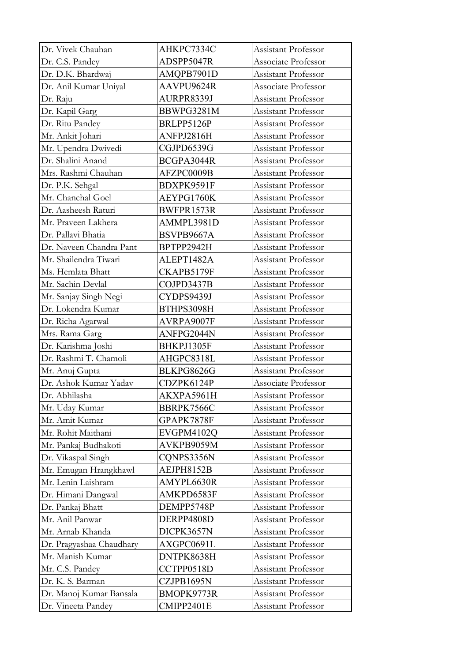| Dr. Vivek Chauhan        | AHKPC7334C | Assistant Professor        |
|--------------------------|------------|----------------------------|
| Dr. C.S. Pandey          | ADSPP5047R | Associate Professor        |
| Dr. D.K. Bhardwaj        | AMQPB7901D | Assistant Professor        |
| Dr. Anil Kumar Uniyal    | AAVPU9624R | Associate Professor        |
| Dr. Raju                 | AURPR8339J | Assistant Professor        |
| Dr. Kapil Garg           | BBWPG3281M | Assistant Professor        |
| Dr. Ritu Pandey          | BRLPP5126P | Assistant Professor        |
| Mr. Ankit Johari         | ANFPJ2816H | Assistant Professor        |
| Mr. Upendra Dwivedi      | CGJPD6539G | Assistant Professor        |
| Dr. Shalini Anand        | BCGPA3044R | Assistant Professor        |
| Mrs. Rashmi Chauhan      | AFZPC0009B | Assistant Professor        |
| Dr. P.K. Sehgal          | BDXPK9591F | Assistant Professor        |
| Mr. Chanchal Goel        | AEYPG1760K | Assistant Professor        |
| Dr. Aasheesh Raturi      | BWFPR1573R | Assistant Professor        |
| Mr. Praveen Lakhera      | AMMPL3981D | Assistant Professor        |
| Dr. Pallavi Bhatia       | BSVPB9667A | Assistant Professor        |
| Dr. Naveen Chandra Pant  | BPTPP2942H | Assistant Professor        |
| Mr. Shailendra Tiwari    | ALEPT1482A | Assistant Professor        |
| Ms. Hemlata Bhatt        | CKAPB5179F | Assistant Professor        |
| Mr. Sachin Devlal        | COJPD3437B | Assistant Professor        |
| Mr. Sanjay Singh Negi    | CYDPS9439J | Assistant Professor        |
| Dr. Lokendra Kumar       | BTHPS3098H | Assistant Professor        |
| Dr. Richa Agarwal        | AVRPA9007F | Assistant Professor        |
| Mrs. Rama Garg           | ANFPG2044N | Assistant Professor        |
| Dr. Karishma Joshi       | BHKPJ1305F | Assistant Professor        |
| Dr. Rashmi T. Chamoli    | AHGPC8318L | Assistant Professor        |
| Mr. Anuj Gupta           | BLKPG8626G | Assistant Professor        |
| Dr. Ashok Kumar Yadav    | CDZPK6124P | Associate Professor        |
| Dr. Abhilasha            | AKXPA5961H | Assistant Professor        |
| Mr. Uday Kumar           | BBRPK7566C | Assistant Professor        |
| Mr. Amit Kumar           | GPAPK7878F | Assistant Professor        |
| Mr. Rohit Maithani       | EVGPM4102Q | <b>Assistant Professor</b> |
| Mr. Pankaj Budhakoti     | AVKPB9059M | Assistant Professor        |
| Dr. Vikaspal Singh       | CQNPS3356N | Assistant Professor        |
| Mr. Emugan Hrangkhawl    | AEJPH8152B | Assistant Professor        |
| Mr. Lenin Laishram       | AMYPL6630R | Assistant Professor        |
| Dr. Himani Dangwal       | AMKPD6583F | Assistant Professor        |
| Dr. Pankaj Bhatt         | DEMPP5748P | Assistant Professor        |
| Mr. Anil Panwar          | DERPP4808D | Assistant Professor        |
| Mr. Arnab Khanda         | DICPK3657N | Assistant Professor        |
| Dr. Pragyashaa Chaudhary | AXGPC0691L | Assistant Professor        |
| Mr. Manish Kumar         | DNTPK8638H | Assistant Professor        |
| Mr. C.S. Pandey          | CCTPP0518D | Assistant Professor        |
| Dr. K. S. Barman         | CZJPB1695N | Assistant Professor        |
| Dr. Manoj Kumar Bansala  | BMOPK9773R | Assistant Professor        |
| Dr. Vineeta Pandey       | CMIPP2401E | Assistant Professor        |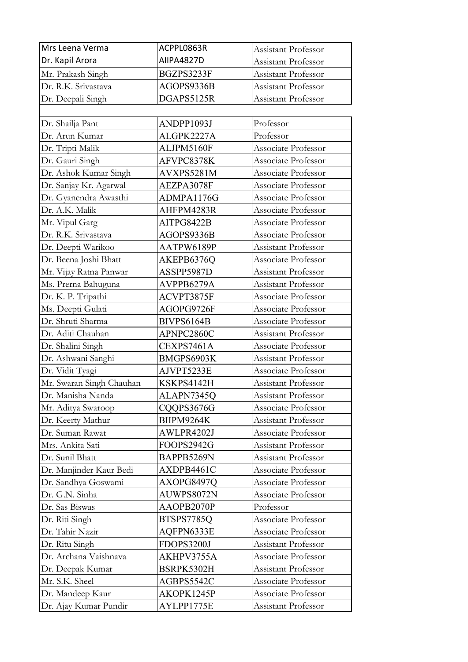| Mrs Leena Verma          | ACPPL0863R | Assistant Professor        |
|--------------------------|------------|----------------------------|
| Dr. Kapil Arora          | AIIPA4827D | Assistant Professor        |
| Mr. Prakash Singh        | BGZPS3233F | Assistant Professor        |
| Dr. R.K. Srivastava      | AGOPS9336B | Assistant Professor        |
| Dr. Deepali Singh        | DGAPS5125R | Assistant Professor        |
|                          |            |                            |
| Dr. Shailja Pant         | ANDPP1093J | Professor                  |
| Dr. Arun Kumar           | ALGPK2227A | Professor                  |
| Dr. Tripti Malik         | ALJPM5160F | Associate Professor        |
| Dr. Gauri Singh          | AFVPC8378K | Associate Professor        |
| Dr. Ashok Kumar Singh    | AVXPS5281M | Associate Professor        |
| Dr. Sanjay Kr. Agarwal   | AEZPA3078F | Associate Professor        |
| Dr. Gyanendra Awasthi    | ADMPA1176G | Associate Professor        |
| Dr. A.K. Malik           | AHFPM4283R | Associate Professor        |
| Mr. Vipul Garg           | AITPG8422B | Associate Professor        |
| Dr. R.K. Srivastava      | AGOPS9336B | Associate Professor        |
| Dr. Deepti Warikoo       | AATPW6189P | <b>Assistant Professor</b> |
| Dr. Beena Joshi Bhatt    | AKEPB6376Q | Associate Professor        |
| Mr. Vijay Ratna Panwar   | ASSPP5987D | Assistant Professor        |
| Ms. Prerna Bahuguna      | AVPPB6279A | <b>Assistant Professor</b> |
| Dr. K. P. Tripathi       | ACVPT3875F | Associate Professor        |
| Ms. Deepti Gulati        | AGOPG9726F | Associate Professor        |
| Dr. Shruti Sharma        | BIVPS6164B | Associate Professor        |
| Dr. Aditi Chauhan        | APNPC2860C | Assistant Professor        |
| Dr. Shalini Singh        | CEXPS7461A | Associate Professor        |
| Dr. Ashwani Sanghi       | BMGPS6903K | Assistant Professor        |
| Dr. Vidit Tyagi          | AJVPT5233E | Associate Professor        |
| Mr. Swaran Singh Chauhan | KSKPS4142H | Assistant Professor        |
| Dr. Manisha Nanda        | ALAPN7345Q | Assistant Professor        |
| Mr. Aditya Swaroop       | CQQPS3676G | Associate Professor        |
| Dr. Keerty Mathur        | BIIPM9264K | Assistant Professor        |
| Dr. Suman Rawat          | AWLPR4202J | Associate Professor        |
| Mrs. Ankita Sati         | FOOPS2942G | Assistant Professor        |
| Dr. Sunil Bhatt          | BAPPB5269N | Assistant Professor        |
| Dr. Manjinder Kaur Bedi  | AXDPB4461C | Associate Professor        |
| Dr. Sandhya Goswami      | AXOPG8497Q | Associate Professor        |
| Dr. G.N. Sinha           | AUWPS8072N | Associate Professor        |
| Dr. Sas Biswas           | AAOPB2070P | Professor                  |
| Dr. Riti Singh           | BTSPS7785Q | Associate Professor        |
| Dr. Tahir Nazir          | AQFPN6333E | Associate Professor        |
| Dr. Ritu Singh           | FDOPS3200J | Assistant Professor        |
| Dr. Archana Vaishnava    | AKHPV3755A | Associate Professor        |
| Dr. Deepak Kumar         | BSRPK5302H | Assistant Professor        |
| Mr. S.K. Sheel           | AGBPS5542C | Associate Professor        |
| Dr. Mandeep Kaur         | AKOPK1245P | Associate Professor        |
| Dr. Ajay Kumar Pundir    | AYLPP1775E | Assistant Professor        |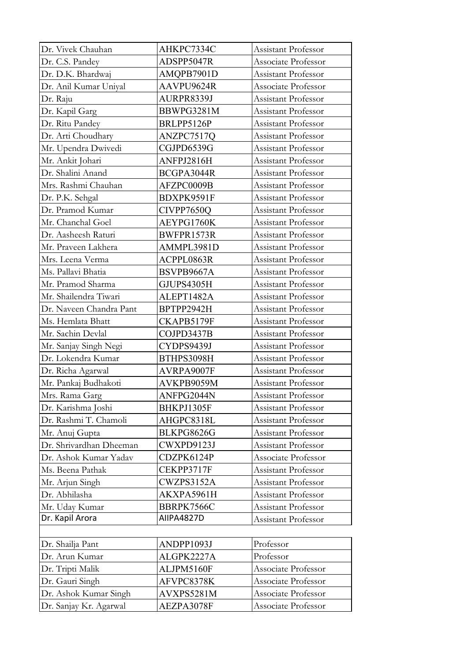| Dr. Vivek Chauhan       | AHKPC7334C | Assistant Professor        |
|-------------------------|------------|----------------------------|
| Dr. C.S. Pandey         | ADSPP5047R | Associate Professor        |
| Dr. D.K. Bhardwaj       | AMQPB7901D | Assistant Professor        |
| Dr. Anil Kumar Uniyal   | AAVPU9624R | Associate Professor        |
| Dr. Raju                | AURPR8339J | <b>Assistant Professor</b> |
| Dr. Kapil Garg          | BBWPG3281M | Assistant Professor        |
| Dr. Ritu Pandey         | BRLPP5126P | Assistant Professor        |
| Dr. Arti Choudhary      | ANZPC7517Q | Assistant Professor        |
| Mr. Upendra Dwivedi     | CGJPD6539G | <b>Assistant Professor</b> |
| Mr. Ankit Johari        | ANFPJ2816H | Assistant Professor        |
| Dr. Shalini Anand       | BCGPA3044R | Assistant Professor        |
| Mrs. Rashmi Chauhan     | AFZPC0009B | Assistant Professor        |
| Dr. P.K. Sehgal         | BDXPK9591F | Assistant Professor        |
| Dr. Pramod Kumar        | CIVPP7650Q | Assistant Professor        |
| Mr. Chanchal Goel       | AEYPG1760K | Assistant Professor        |
| Dr. Aasheesh Raturi     | BWFPR1573R | Assistant Professor        |
| Mr. Praveen Lakhera     | AMMPL3981D | <b>Assistant Professor</b> |
| Mrs. Leena Verma        | ACPPL0863R | Assistant Professor        |
| Ms. Pallavi Bhatia      | BSVPB9667A | Assistant Professor        |
| Mr. Pramod Sharma       | GJUPS4305H | Assistant Professor        |
| Mr. Shailendra Tiwari   | ALEPT1482A | Assistant Professor        |
| Dr. Naveen Chandra Pant | BPTPP2942H | Assistant Professor        |
| Ms. Hemlata Bhatt       | CKAPB5179F | Assistant Professor        |
| Mr. Sachin Devlal       | COJPD3437B | Assistant Professor        |
| Mr. Sanjay Singh Negi   | CYDPS9439J | Assistant Professor        |
| Dr. Lokendra Kumar      | BTHPS3098H | Assistant Professor        |
| Dr. Richa Agarwal       | AVRPA9007F | Assistant Professor        |
| Mr. Pankaj Budhakoti    | AVKPB9059M | Assistant Professor        |
| Mrs. Rama Garg          | ANFPG2044N | Assistant Professor        |
| Dr. Karishma Joshi      | BHKPJ1305F | Assistant Professor        |
| Dr. Rashmi T. Chamoli   | AHGPC8318L | Assistant Professor        |
| Mr. Anuj Gupta          | BLKPG8626G | Assistant Professor        |
| Dr. Shrivardhan Dheeman | CWXPD9123J | Assistant Professor        |
| Dr. Ashok Kumar Yadav   | CDZPK6124P | Associate Professor        |
| Ms. Beena Pathak        | CEKPP3717F | Assistant Professor        |
| Mr. Arjun Singh         | CWZPS3152A | Assistant Professor        |
| Dr. Abhilasha           | AKXPA5961H | Assistant Professor        |
| Mr. Uday Kumar          | BBRPK7566C | Assistant Professor        |
| Dr. Kapil Arora         | AIIPA4827D | Assistant Professor        |
|                         |            |                            |
| Dr. Shailja Pant        | ANDPP1093J | Professor                  |
| Dr. Arun Kumar          | ALGPK2227A | Professor                  |
| Dr. Tripti Malik        | ALJPM5160F | Associate Professor        |
| Dr. Gauri Singh         | AFVPC8378K | Associate Professor        |
| Dr. Ashok Kumar Singh   | AVXPS5281M | Associate Professor        |
| Dr. Sanjay Kr. Agarwal  | AEZPA3078F | Associate Professor        |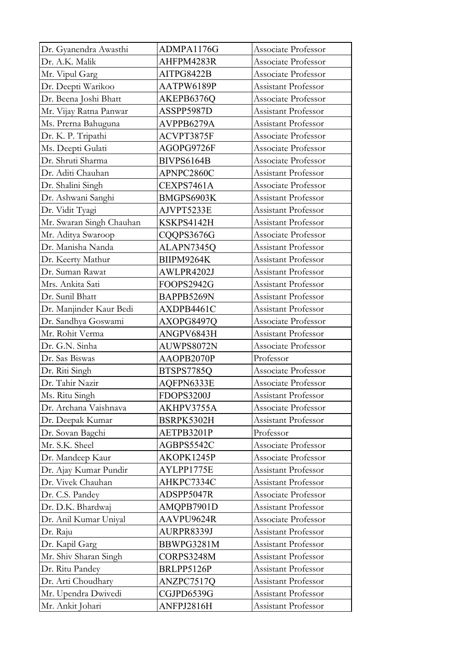| Dr. Gyanendra Awasthi    | ADMPA1176G | Associate Professor        |
|--------------------------|------------|----------------------------|
| Dr. A.K. Malik           | AHFPM4283R | Associate Professor        |
| Mr. Vipul Garg           | AITPG8422B | Associate Professor        |
| Dr. Deepti Warikoo       | AATPW6189P | Assistant Professor        |
| Dr. Beena Joshi Bhatt    | AKEPB6376Q | Associate Professor        |
| Mr. Vijay Ratna Panwar   | ASSPP5987D | Assistant Professor        |
| Ms. Prerna Bahuguna      | AVPPB6279A | Assistant Professor        |
| Dr. K. P. Tripathi       | ACVPT3875F | Associate Professor        |
| Ms. Deepti Gulati        | AGOPG9726F | Associate Professor        |
| Dr. Shruti Sharma        | BIVPS6164B | Associate Professor        |
| Dr. Aditi Chauhan        | APNPC2860C | Assistant Professor        |
| Dr. Shalini Singh        | CEXPS7461A | Associate Professor        |
| Dr. Ashwani Sanghi       | BMGPS6903K | Assistant Professor        |
| Dr. Vidit Tyagi          | AJVPT5233E | <b>Assistant Professor</b> |
| Mr. Swaran Singh Chauhan | KSKPS4142H | Assistant Professor        |
| Mr. Aditya Swaroop       | CQQPS3676G | Associate Professor        |
| Dr. Manisha Nanda        | ALAPN7345Q | Assistant Professor        |
| Dr. Keerty Mathur        | BIIPM9264K | Assistant Professor        |
| Dr. Suman Rawat          | AWLPR4202J | Assistant Professor        |
| Mrs. Ankita Sati         | FOOPS2942G | Assistant Professor        |
| Dr. Sunil Bhatt          | BAPPB5269N | Assistant Professor        |
| Dr. Manjinder Kaur Bedi  | AXDPB4461C | <b>Assistant Professor</b> |
| Dr. Sandhya Goswami      | AXOPG8497Q | Associate Professor        |
| Mr. Rohit Verma          | ANGPV6843H | Assistant Professor        |
| Dr. G.N. Sinha           | AUWPS8072N | Associate Professor        |
| Dr. Sas Biswas           | AAOPB2070P | Professor                  |
| Dr. Riti Singh           | BTSPS7785Q | Associate Professor        |
| Dr. Tahir Nazir          | AQFPN6333E | Associate Professor        |
| Ms. Ritu Singh           | FDOPS3200J | Assistant Professor        |
| Dr. Archana Vaishnava    | AKHPV3755A | Associate Professor        |
| Dr. Deepak Kumar         | BSRPK5302H | Assistant Professor        |
| Dr. Sovan Bagchi         | AETPB3201P | Professor                  |
| Mr. S.K. Sheel           | AGBPS5542C | Associate Professor        |
| Dr. Mandeep Kaur         | AKOPK1245P | Associate Professor        |
| Dr. Ajay Kumar Pundir    | AYLPP1775E | Assistant Professor        |
| Dr. Vivek Chauhan        | AHKPC7334C | Assistant Professor        |
| Dr. C.S. Pandey          | ADSPP5047R | Associate Professor        |
| Dr. D.K. Bhardwaj        | AMQPB7901D | Assistant Professor        |
| Dr. Anil Kumar Uniyal    | AAVPU9624R | Associate Professor        |
| Dr. Raju                 | AURPR8339J | Assistant Professor        |
| Dr. Kapil Garg           | BBWPG3281M | Assistant Professor        |
| Mr. Shiv Sharan Singh    | CORPS3248M | Assistant Professor        |
| Dr. Ritu Pandey          | BRLPP5126P | Assistant Professor        |
| Dr. Arti Choudhary       | ANZPC7517Q | Assistant Professor        |
| Mr. Upendra Dwivedi      | CGJPD6539G | Assistant Professor        |
| Mr. Ankit Johari         | ANFPJ2816H | Assistant Professor        |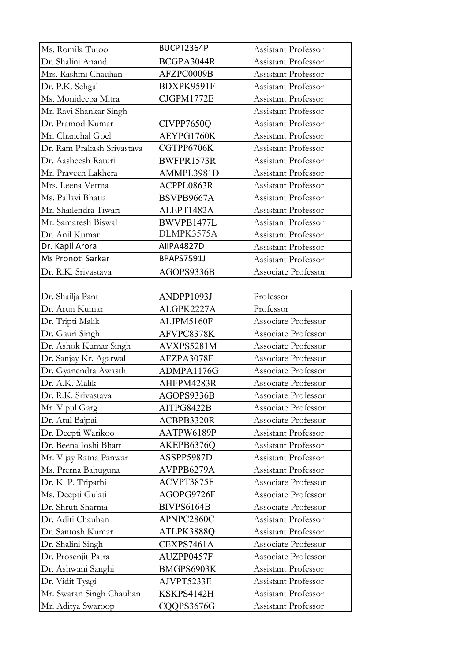| Ms. Romila Tutoo           | BUCPT2364P        | Assistant Professor        |  |
|----------------------------|-------------------|----------------------------|--|
| Dr. Shalini Anand          | BCGPA3044R        | Assistant Professor        |  |
| Mrs. Rashmi Chauhan        | AFZPC0009B        | Assistant Professor        |  |
| Dr. P.K. Sehgal            | BDXPK9591F        | Assistant Professor        |  |
| Ms. Monideepa Mitra        | CJGPM1772E        | Assistant Professor        |  |
| Mr. Ravi Shankar Singh     |                   | Assistant Professor        |  |
| Dr. Pramod Kumar           | CIVPP7650Q        | Assistant Professor        |  |
| Mr. Chanchal Goel          | AEYPG1760K        | <b>Assistant Professor</b> |  |
| Dr. Ram Prakash Srivastava | CGTPP6706K        | Assistant Professor        |  |
| Dr. Aasheesh Raturi        | BWFPR1573R        | Assistant Professor        |  |
| Mr. Praveen Lakhera        | AMMPL3981D        | Assistant Professor        |  |
| Mrs. Leena Verma           | ACPPL0863R        | Assistant Professor        |  |
| Ms. Pallavi Bhatia         | BSVPB9667A        | <b>Assistant Professor</b> |  |
| Mr. Shailendra Tiwari      | ALEPT1482A        | Assistant Professor        |  |
| Mr. Samaresh Biswal        | BWVPB1477L        | <b>Assistant Professor</b> |  |
| Dr. Anil Kumar             | DLMPK3575A        | <b>Assistant Professor</b> |  |
| Dr. Kapil Arora            | AIIPA4827D        | Assistant Professor        |  |
| Ms Pronoti Sarkar          | <b>BPAPS7591J</b> | Assistant Professor        |  |
| Dr. R.K. Srivastava        | AGOPS9336B        | Associate Professor        |  |
|                            |                   |                            |  |
| Dr. Shailja Pant           | ANDPP1093J        | Professor                  |  |
| Dr. Arun Kumar             | ALGPK2227A        | Professor                  |  |
| Dr. Tripti Malik           | ALJPM5160F        | Associate Professor        |  |
| Dr. Gauri Singh            | AFVPC8378K        | Associate Professor        |  |
| Dr. Ashok Kumar Singh      | AVXPS5281M        | Associate Professor        |  |
| Dr. Sanjay Kr. Agarwal     | AEZPA3078F        | Associate Professor        |  |
| Dr. Gyanendra Awasthi      | ADMPA1176G        | Associate Professor        |  |
| Dr. A.K. Malik             | AHFPM4283R        | Associate Professor        |  |
| Dr. R.K. Srivastava        | AGOPS9336B        | Associate Professor        |  |
| Mr. Vipul Garg             | AITPG8422B        | Associate Professor        |  |
| Dr. Atul Bajpai            | ACBPB3320R        | Associate Professor        |  |
| Dr. Deepti Warikoo         | AATPW6189P        | Assistant Professor        |  |
| Dr. Beena Joshi Bhatt      | AKEPB6376Q        | Assistant Professor        |  |
| Mr. Vijay Ratna Panwar     | ASSPP5987D        | Assistant Professor        |  |
| Ms. Prerna Bahuguna        | AVPPB6279A        | Assistant Professor        |  |
| Dr. K. P. Tripathi         | ACVPT3875F        | Associate Professor        |  |
| Ms. Deepti Gulati          | AGOPG9726F        | Associate Professor        |  |
| Dr. Shruti Sharma          | BIVPS6164B        | Associate Professor        |  |
| Dr. Aditi Chauhan          | APNPC2860C        | Assistant Professor        |  |
| Dr. Santosh Kumar          | ATLPK3888Q        | Assistant Professor        |  |
| Dr. Shalini Singh          | CEXPS7461A        | Associate Professor        |  |
| Dr. Prosenjit Patra        | AUZPP0457F        | Associate Professor        |  |
| Dr. Ashwani Sanghi         | BMGPS6903K        | Assistant Professor        |  |
| Dr. Vidit Tyagi            | AJVPT5233E        | Assistant Professor        |  |
| Mr. Swaran Singh Chauhan   | KSKPS4142H        | Assistant Professor        |  |
| Mr. Aditya Swaroop         | CQQPS3676G        | Assistant Professor        |  |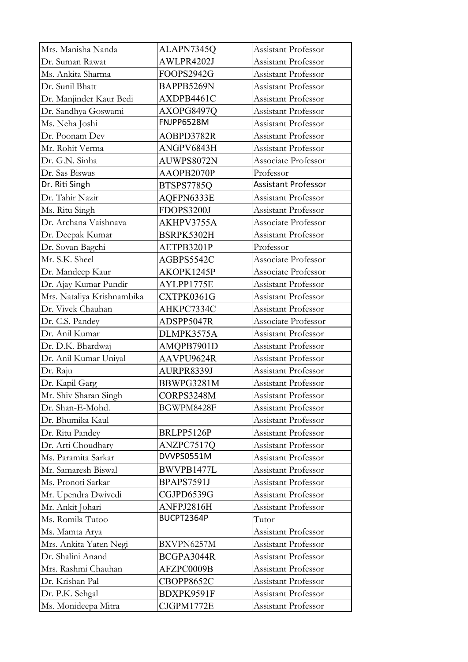| Mrs. Manisha Nanda         | ALAPN7345Q | Assistant Professor        |
|----------------------------|------------|----------------------------|
| Dr. Suman Rawat            | AWLPR4202J | Assistant Professor        |
| Ms. Ankita Sharma          | FOOPS2942G | Assistant Professor        |
| Dr. Sunil Bhatt            | BAPPB5269N | Assistant Professor        |
| Dr. Manjinder Kaur Bedi    | AXDPB4461C | Assistant Professor        |
| Dr. Sandhya Goswami        | AXOPG8497Q | Assistant Professor        |
| Ms. Neha Joshi             | FNJPP6528M | Assistant Professor        |
| Dr. Poonam Dev             | AOBPD3782R | Assistant Professor        |
| Mr. Rohit Verma            | ANGPV6843H | Assistant Professor        |
| Dr. G.N. Sinha             | AUWPS8072N | Associate Professor        |
| Dr. Sas Biswas             | AAOPB2070P | Professor                  |
| Dr. Riti Singh             | BTSPS7785Q | <b>Assistant Professor</b> |
| Dr. Tahir Nazir            | AQFPN6333E | <b>Assistant Professor</b> |
| Ms. Ritu Singh             | FDOPS3200J | Assistant Professor        |
| Dr. Archana Vaishnava      | AKHPV3755A | Associate Professor        |
| Dr. Deepak Kumar           | BSRPK5302H | Assistant Professor        |
| Dr. Sovan Bagchi           | AETPB3201P | Professor                  |
| Mr. S.K. Sheel             | AGBPS5542C | Associate Professor        |
| Dr. Mandeep Kaur           | AKOPK1245P | Associate Professor        |
| Dr. Ajay Kumar Pundir      | AYLPP1775E | Assistant Professor        |
| Mrs. Nataliya Krishnambika | CXTPK0361G | Assistant Professor        |
| Dr. Vivek Chauhan          | AHKPC7334C | <b>Assistant Professor</b> |
| Dr. C.S. Pandey            | ADSPP5047R | Associate Professor        |
| Dr. Anil Kumar             | DLMPK3575A | Assistant Professor        |
| Dr. D.K. Bhardwaj          | AMQPB7901D | Assistant Professor        |
| Dr. Anil Kumar Uniyal      | AAVPU9624R | Assistant Professor        |
| Dr. Raju                   | AURPR8339J | Assistant Professor        |
| Dr. Kapil Garg             | BBWPG3281M | Assistant Professor        |
| Mr. Shiv Sharan Singh      | CORPS3248M | Assistant Professor        |
| Dr. Shan-E-Mohd.           | BGWPM8428F | Assistant Professor        |
| Dr. Bhumika Kaul           |            | Assistant Professor        |
| Dr. Ritu Pandey            | BRLPP5126P | Assistant Professor        |
| Dr. Arti Choudhary         | ANZPC7517Q | Assistant Professor        |
| Ms. Paramita Sarkar        | DVVPS0551M | Assistant Professor        |
| Mr. Samaresh Biswal        | BWVPB1477L | Assistant Professor        |
| Ms. Pronoti Sarkar         | BPAPS7591J | Assistant Professor        |
| Mr. Upendra Dwivedi        | CGJPD6539G | Assistant Professor        |
| Mr. Ankit Johari           | ANFPJ2816H | Assistant Professor        |
| Ms. Romila Tutoo           | BUCPT2364P | Tutor                      |
| Ms. Mamta Arya             |            | Assistant Professor        |
| Mrs. Ankita Yaten Negi     | BXVPN6257M | Assistant Professor        |
| Dr. Shalini Anand          | BCGPA3044R | Assistant Professor        |
| Mrs. Rashmi Chauhan        | AFZPC0009B | Assistant Professor        |
| Dr. Krishan Pal            | CBOPP8652C | Assistant Professor        |
| Dr. P.K. Sehgal            | BDXPK9591F | Assistant Professor        |
| Ms. Monideepa Mitra        | CJGPM1772E | Assistant Professor        |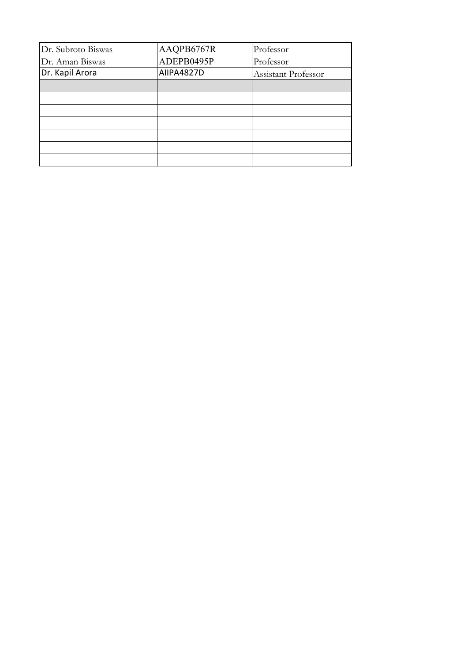| Dr. Subroto Biswas | AAQPB6767R | Professor           |
|--------------------|------------|---------------------|
| Dr. Aman Biswas    | ADEPB0495P | Professor           |
| Dr. Kapil Arora    | AIIPA4827D | Assistant Professor |
|                    |            |                     |
|                    |            |                     |
|                    |            |                     |
|                    |            |                     |
|                    |            |                     |
|                    |            |                     |
|                    |            |                     |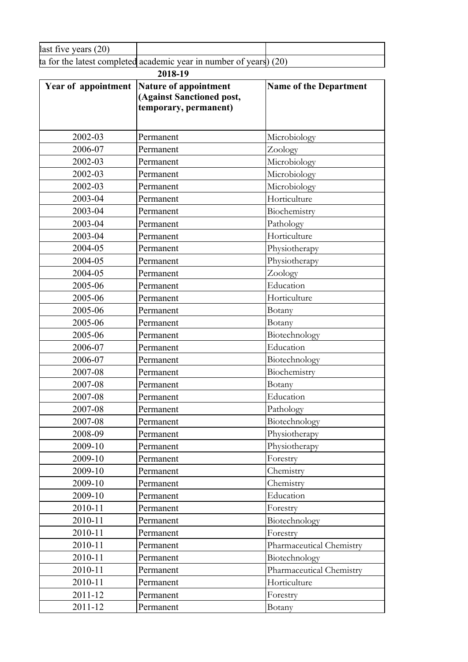| ിവ<br>$170.9$ rc<br>$\mu$ ast five "<br><b>Cal d</b><br>14 V |                                     |     |  |
|--------------------------------------------------------------|-------------------------------------|-----|--|
| completed<br>tor the<br>latest                               | academic year in number<br>ot vears | 20. |  |

| 2018-19             |                                                                             |                               |  |
|---------------------|-----------------------------------------------------------------------------|-------------------------------|--|
| Year of appointment | Nature of appointment<br>(Against Sanctioned post,<br>temporary, permanent) | <b>Name of the Department</b> |  |
| 2002-03             | Permanent                                                                   | Microbiology                  |  |
| 2006-07             | Permanent                                                                   | Zoology                       |  |
| 2002-03             | Permanent                                                                   | Microbiology                  |  |
| 2002-03             | Permanent                                                                   | Microbiology                  |  |
| 2002-03             | Permanent                                                                   | Microbiology                  |  |
| 2003-04             | Permanent                                                                   | Horticulture                  |  |
| 2003-04             | Permanent                                                                   | Biochemistry                  |  |
| 2003-04             | Permanent                                                                   | Pathology                     |  |
| 2003-04             | Permanent                                                                   | Horticulture                  |  |
| 2004-05             | Permanent                                                                   | Physiotherapy                 |  |
| 2004-05             | Permanent                                                                   | Physiotherapy                 |  |
| 2004-05             | Permanent                                                                   | Zoology                       |  |
| 2005-06             | Permanent                                                                   | Education                     |  |
| 2005-06             | Permanent                                                                   | Horticulture                  |  |
| 2005-06             | Permanent                                                                   | Botany                        |  |
| 2005-06             | Permanent                                                                   | Botany                        |  |
| 2005-06             | Permanent                                                                   | Biotechnology                 |  |
| 2006-07             | Permanent                                                                   | Education                     |  |
| 2006-07             | Permanent                                                                   | Biotechnology                 |  |
| 2007-08             | Permanent                                                                   | Biochemistry                  |  |
| 2007-08             | Permanent                                                                   | Botany                        |  |
| 2007-08             | Permanent                                                                   | Education                     |  |
| 2007-08             | Permanent                                                                   | Pathology                     |  |
| 2007-08             | Permanent                                                                   | Biotechnology                 |  |
| 2008-09             | Permanent                                                                   | Physiotherapy                 |  |
| 2009-10             | Permanent                                                                   | Physiotherapy                 |  |
| 2009-10             | Permanent                                                                   | Forestry                      |  |
| 2009-10             | Permanent                                                                   | Chemistry                     |  |
| 2009-10             | Permanent                                                                   | Chemistry                     |  |
| 2009-10             | Permanent                                                                   | Education                     |  |
| 2010-11             | Permanent                                                                   | Forestry                      |  |
| 2010-11             | Permanent                                                                   | Biotechnology                 |  |
| 2010-11             | Permanent                                                                   | Forestry                      |  |
| 2010-11             | Permanent                                                                   | Pharmaceutical Chemistry      |  |
| 2010-11             | Permanent                                                                   | Biotechnology                 |  |
| 2010-11             | Permanent                                                                   | Pharmaceutical Chemistry      |  |
| 2010-11             | Permanent                                                                   | Horticulture                  |  |
| 2011-12             | Permanent                                                                   | Forestry                      |  |
| 2011-12             | Permanent                                                                   | Botany                        |  |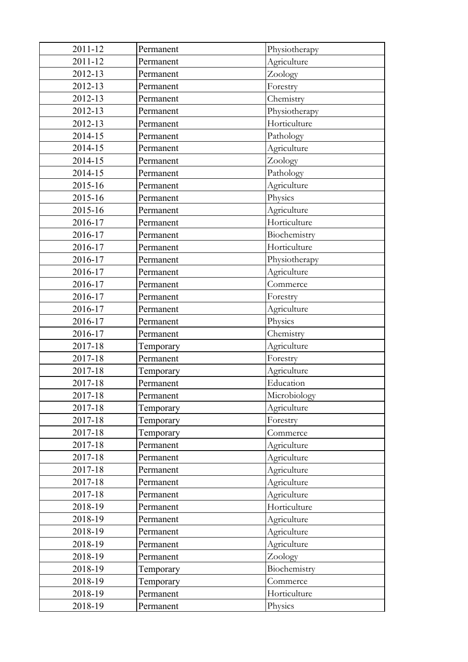| 2011-12 | Permanent | Physiotherapy |
|---------|-----------|---------------|
| 2011-12 | Permanent | Agriculture   |
| 2012-13 | Permanent | Zoology       |
| 2012-13 | Permanent | Forestry      |
| 2012-13 | Permanent | Chemistry     |
| 2012-13 | Permanent | Physiotherapy |
| 2012-13 | Permanent | Horticulture  |
| 2014-15 | Permanent | Pathology     |
| 2014-15 | Permanent | Agriculture   |
| 2014-15 | Permanent | Zoology       |
| 2014-15 | Permanent | Pathology     |
| 2015-16 | Permanent | Agriculture   |
| 2015-16 | Permanent | Physics       |
| 2015-16 | Permanent | Agriculture   |
| 2016-17 | Permanent | Horticulture  |
| 2016-17 | Permanent | Biochemistry  |
| 2016-17 | Permanent | Horticulture  |
| 2016-17 | Permanent | Physiotherapy |
| 2016-17 | Permanent | Agriculture   |
| 2016-17 | Permanent | Commerce      |
| 2016-17 | Permanent | Forestry      |
| 2016-17 | Permanent | Agriculture   |
| 2016-17 | Permanent | Physics       |
| 2016-17 | Permanent | Chemistry     |
| 2017-18 | Temporary | Agriculture   |
| 2017-18 | Permanent | Forestry      |
| 2017-18 | Temporary | Agriculture   |
| 2017-18 | Permanent | Education     |
| 2017-18 | Permanent | Microbiology  |
| 2017-18 | Temporary | Agriculture   |
| 2017-18 | Temporary | Forestry      |
| 2017-18 | Temporary | Commerce      |
| 2017-18 | Permanent | Agriculture   |
| 2017-18 | Permanent | Agriculture   |
| 2017-18 | Permanent | Agriculture   |
| 2017-18 | Permanent | Agriculture   |
| 2017-18 | Permanent | Agriculture   |
| 2018-19 | Permanent | Horticulture  |
| 2018-19 | Permanent | Agriculture   |
| 2018-19 | Permanent | Agriculture   |
| 2018-19 | Permanent | Agriculture   |
| 2018-19 | Permanent | Zoology       |
| 2018-19 | Temporary | Biochemistry  |
| 2018-19 | Temporary | Commerce      |
| 2018-19 | Permanent | Horticulture  |
| 2018-19 | Permanent | Physics       |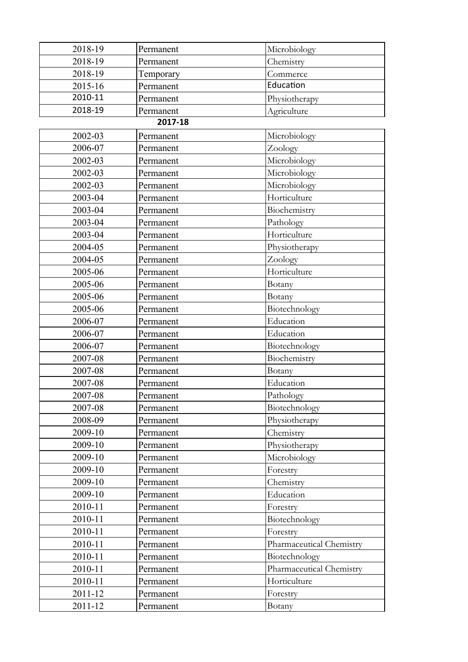| 2018-19 | Permanent | Microbiology             |
|---------|-----------|--------------------------|
| 2018-19 | Permanent | Chemistry                |
| 2018-19 | Temporary | Commerce                 |
| 2015-16 | Permanent | Education                |
| 2010-11 | Permanent | Physiotherapy            |
| 2018-19 | Permanent | Agriculture              |
|         | 2017-18   |                          |
| 2002-03 | Permanent | Microbiology             |
| 2006-07 | Permanent | Zoology                  |
| 2002-03 | Permanent | Microbiology             |
| 2002-03 | Permanent | Microbiology             |
| 2002-03 | Permanent | Microbiology             |
| 2003-04 | Permanent | Horticulture             |
| 2003-04 | Permanent | Biochemistry             |
| 2003-04 | Permanent | Pathology                |
| 2003-04 | Permanent | Horticulture             |
| 2004-05 | Permanent | Physiotherapy            |
| 2004-05 | Permanent | Zoology                  |
| 2005-06 | Permanent | Horticulture             |
| 2005-06 | Permanent | Botany                   |
| 2005-06 | Permanent | Botany                   |
|         |           |                          |
| 2005-06 | Permanent | Biotechnology            |
| 2006-07 | Permanent | Education                |
| 2006-07 | Permanent | Education                |
| 2006-07 | Permanent | Biotechnology            |
| 2007-08 | Permanent | Biochemistry             |
| 2007-08 | Permanent | Botany                   |
| 2007-08 | Permanent | Education                |
| 2007-08 | Permanent | Pathology                |
| 2007-08 | Permanent | Biotechnology            |
| 2008-09 | Permanent | Physiotherapy            |
| 2009-10 | Permanent | Chemistry                |
| 2009-10 | Permanent | Physiotherapy            |
| 2009-10 | Permanent | Microbiology             |
| 2009-10 | Permanent | Forestry                 |
| 2009-10 | Permanent | Chemistry                |
| 2009-10 | Permanent | Education                |
| 2010-11 | Permanent | Forestry                 |
| 2010-11 | Permanent | Biotechnology            |
| 2010-11 | Permanent | Forestry                 |
| 2010-11 | Permanent | Pharmaceutical Chemistry |
| 2010-11 | Permanent | Biotechnology            |
| 2010-11 | Permanent | Pharmaceutical Chemistry |
| 2010-11 | Permanent | Horticulture             |
| 2011-12 | Permanent | Forestry                 |
| 2011-12 | Permanent | Botany                   |
|         |           |                          |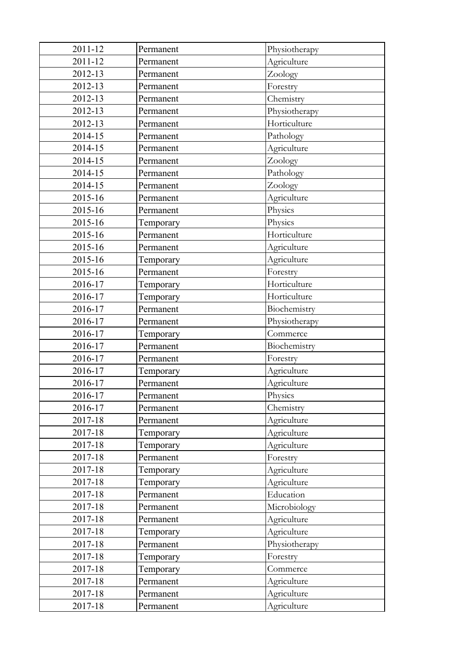| 2011-12 | Permanent | Physiotherapy |
|---------|-----------|---------------|
| 2011-12 | Permanent | Agriculture   |
| 2012-13 | Permanent | Zoology       |
| 2012-13 | Permanent | Forestry      |
| 2012-13 | Permanent | Chemistry     |
| 2012-13 | Permanent | Physiotherapy |
| 2012-13 | Permanent | Horticulture  |
| 2014-15 | Permanent | Pathology     |
| 2014-15 | Permanent | Agriculture   |
| 2014-15 | Permanent | Zoology       |
| 2014-15 | Permanent | Pathology     |
| 2014-15 | Permanent | Zoology       |
| 2015-16 | Permanent | Agriculture   |
| 2015-16 | Permanent | Physics       |
| 2015-16 | Temporary | Physics       |
| 2015-16 | Permanent | Horticulture  |
| 2015-16 | Permanent | Agriculture   |
| 2015-16 | Temporary | Agriculture   |
| 2015-16 | Permanent | Forestry      |
| 2016-17 | Temporary | Horticulture  |
| 2016-17 | Temporary | Horticulture  |
| 2016-17 | Permanent | Biochemistry  |
| 2016-17 | Permanent | Physiotherapy |
| 2016-17 | Temporary | Commerce      |
| 2016-17 | Permanent | Biochemistry  |
| 2016-17 | Permanent | Forestry      |
| 2016-17 | Temporary | Agriculture   |
| 2016-17 | Permanent | Agriculture   |
| 2016-17 | Permanent | Physics       |
| 2016-17 | Permanent | Chemistry     |
| 2017-18 | Permanent | Agriculture   |
| 2017-18 | Temporary | Agriculture   |
| 2017-18 | Temporary | Agriculture   |
| 2017-18 | Permanent | Forestry      |
| 2017-18 | Temporary | Agriculture   |
| 2017-18 | Temporary | Agriculture   |
| 2017-18 | Permanent | Education     |
| 2017-18 | Permanent | Microbiology  |
| 2017-18 | Permanent | Agriculture   |
| 2017-18 | Temporary | Agriculture   |
| 2017-18 | Permanent | Physiotherapy |
| 2017-18 | Temporary | Forestry      |
| 2017-18 | Temporary | Commerce      |
| 2017-18 | Permanent | Agriculture   |
| 2017-18 | Permanent | Agriculture   |
| 2017-18 | Permanent | Agriculture   |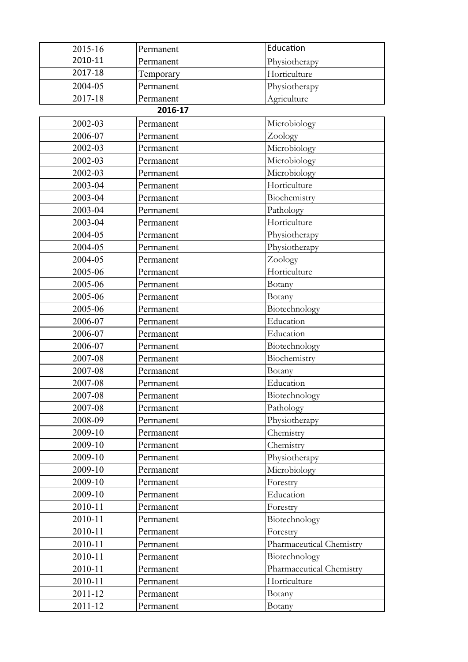| 2015-16 | Permanent | Education                |
|---------|-----------|--------------------------|
| 2010-11 | Permanent | Physiotherapy            |
| 2017-18 | Temporary | Horticulture             |
| 2004-05 | Permanent | Physiotherapy            |
| 2017-18 | Permanent | Agriculture              |
|         | 2016-17   |                          |
| 2002-03 | Permanent | Microbiology             |
| 2006-07 | Permanent | Zoology                  |
| 2002-03 | Permanent | Microbiology             |
| 2002-03 | Permanent | Microbiology             |
| 2002-03 | Permanent | Microbiology             |
| 2003-04 | Permanent | Horticulture             |
| 2003-04 | Permanent | Biochemistry             |
| 2003-04 | Permanent | Pathology                |
| 2003-04 | Permanent | Horticulture             |
| 2004-05 | Permanent | Physiotherapy            |
| 2004-05 | Permanent | Physiotherapy            |
| 2004-05 | Permanent | Zoology                  |
| 2005-06 | Permanent | Horticulture             |
| 2005-06 | Permanent | Botany                   |
| 2005-06 | Permanent | Botany                   |
| 2005-06 | Permanent | Biotechnology            |
| 2006-07 | Permanent | Education                |
| 2006-07 | Permanent | Education                |
| 2006-07 | Permanent | Biotechnology            |
| 2007-08 | Permanent | Biochemistry             |
| 2007-08 | Permanent | Botany                   |
| 2007-08 | Permanent | Education                |
| 2007-08 | Permanent | Biotechnology            |
| 2007-08 | Permanent | Pathology                |
| 2008-09 | Permanent | Physiotherapy            |
| 2009-10 | Permanent | Chemistry                |
| 2009-10 | Permanent | Chemistry                |
| 2009-10 | Permanent | Physiotherapy            |
| 2009-10 | Permanent | Microbiology             |
| 2009-10 | Permanent | Forestry                 |
| 2009-10 | Permanent | Education                |
| 2010-11 | Permanent | Forestry                 |
| 2010-11 | Permanent | Biotechnology            |
| 2010-11 | Permanent | Forestry                 |
| 2010-11 | Permanent | Pharmaceutical Chemistry |
| 2010-11 | Permanent | Biotechnology            |
| 2010-11 | Permanent | Pharmaceutical Chemistry |
| 2010-11 | Permanent | Horticulture             |
| 2011-12 | Permanent | Botany                   |
| 2011-12 | Permanent | Botany                   |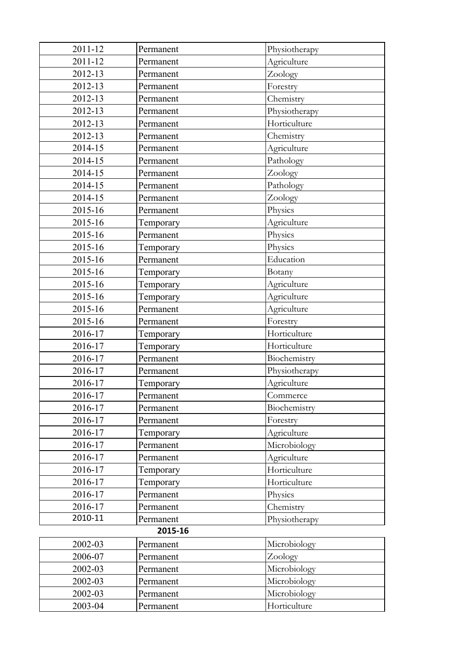| 2011-12 | Permanent | Physiotherapy |
|---------|-----------|---------------|
| 2011-12 | Permanent | Agriculture   |
| 2012-13 | Permanent | Zoology       |
| 2012-13 | Permanent | Forestry      |
| 2012-13 | Permanent | Chemistry     |
| 2012-13 | Permanent | Physiotherapy |
| 2012-13 | Permanent | Horticulture  |
| 2012-13 | Permanent | Chemistry     |
| 2014-15 | Permanent | Agriculture   |
| 2014-15 | Permanent | Pathology     |
| 2014-15 | Permanent | Zoology       |
| 2014-15 | Permanent | Pathology     |
| 2014-15 | Permanent | Zoology       |
| 2015-16 | Permanent | Physics       |
| 2015-16 | Temporary | Agriculture   |
| 2015-16 | Permanent | Physics       |
| 2015-16 | Temporary | Physics       |
| 2015-16 | Permanent | Education     |
| 2015-16 | Temporary | Botany        |
| 2015-16 | Temporary | Agriculture   |
| 2015-16 | Temporary | Agriculture   |
| 2015-16 | Permanent | Agriculture   |
| 2015-16 | Permanent | Forestry      |
| 2016-17 | Temporary | Horticulture  |
| 2016-17 | Temporary | Horticulture  |
| 2016-17 | Permanent | Biochemistry  |
| 2016-17 | Permanent | Physiotherapy |
| 2016-17 | Temporary | Agriculture   |
| 2016-17 | Permanent | Commerce      |
| 2016-17 | Permanent | Biochemistry  |
| 2016-17 | Permanent | Forestry      |
| 2016-17 | Temporary | Agriculture   |
| 2016-17 | Permanent | Microbiology  |
| 2016-17 | Permanent | Agriculture   |
| 2016-17 | Temporary | Horticulture  |
| 2016-17 | Temporary | Horticulture  |
| 2016-17 | Permanent | Physics       |
| 2016-17 | Permanent | Chemistry     |
| 2010-11 | Permanent | Physiotherapy |
| 2015-16 |           |               |
| 2002-03 | Permanent | Microbiology  |
| 2006-07 | Permanent | Zoology       |
| 2002-03 | Permanent | Microbiology  |
| 2002-03 | Permanent | Microbiology  |
| 2002-03 | Permanent | Microbiology  |
| 2003-04 | Permanent | Horticulture  |
|         |           |               |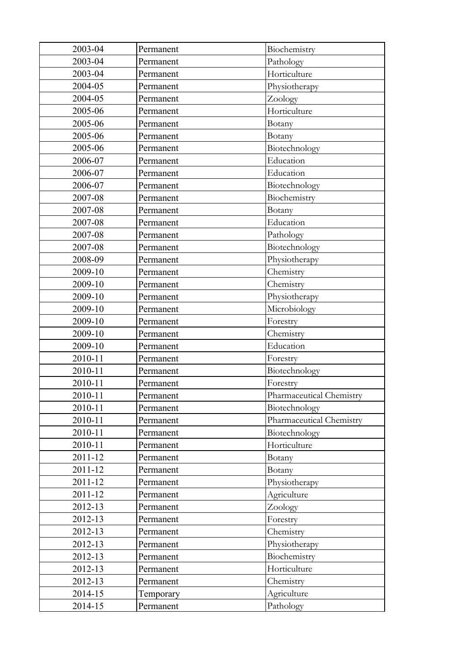| 2003-04 | Permanent | Biochemistry             |
|---------|-----------|--------------------------|
| 2003-04 | Permanent | Pathology                |
| 2003-04 | Permanent | Horticulture             |
| 2004-05 | Permanent | Physiotherapy            |
| 2004-05 | Permanent | Zoology                  |
| 2005-06 | Permanent | Horticulture             |
| 2005-06 | Permanent | Botany                   |
| 2005-06 | Permanent | Botany                   |
| 2005-06 | Permanent | Biotechnology            |
| 2006-07 | Permanent | Education                |
| 2006-07 | Permanent | Education                |
| 2006-07 | Permanent | Biotechnology            |
| 2007-08 | Permanent | Biochemistry             |
| 2007-08 | Permanent | Botany                   |
| 2007-08 | Permanent | Education                |
| 2007-08 | Permanent | Pathology                |
| 2007-08 | Permanent | Biotechnology            |
| 2008-09 | Permanent | Physiotherapy            |
| 2009-10 | Permanent | Chemistry                |
| 2009-10 | Permanent | Chemistry                |
| 2009-10 | Permanent | Physiotherapy            |
| 2009-10 | Permanent | Microbiology             |
| 2009-10 | Permanent | Forestry                 |
| 2009-10 | Permanent | Chemistry                |
| 2009-10 | Permanent | Education                |
| 2010-11 | Permanent | Forestry                 |
| 2010-11 | Permanent | Biotechnology            |
| 2010-11 | Permanent | Forestry                 |
| 2010-11 | Permanent | Pharmaceutical Chemistry |
| 2010-11 | Permanent | Biotechnology            |
| 2010-11 | Permanent | Pharmaceutical Chemistry |
| 2010-11 | Permanent | Biotechnology            |
| 2010-11 | Permanent | Horticulture             |
| 2011-12 | Permanent | Botany                   |
| 2011-12 | Permanent | Botany                   |
| 2011-12 | Permanent | Physiotherapy            |
| 2011-12 | Permanent | Agriculture              |
| 2012-13 | Permanent | Zoology                  |
| 2012-13 | Permanent | Forestry                 |
| 2012-13 | Permanent | Chemistry                |
| 2012-13 | Permanent | Physiotherapy            |
| 2012-13 | Permanent | Biochemistry             |
| 2012-13 | Permanent | Horticulture             |
| 2012-13 | Permanent | Chemistry                |
| 2014-15 | Temporary | Agriculture              |
| 2014-15 | Permanent | Pathology                |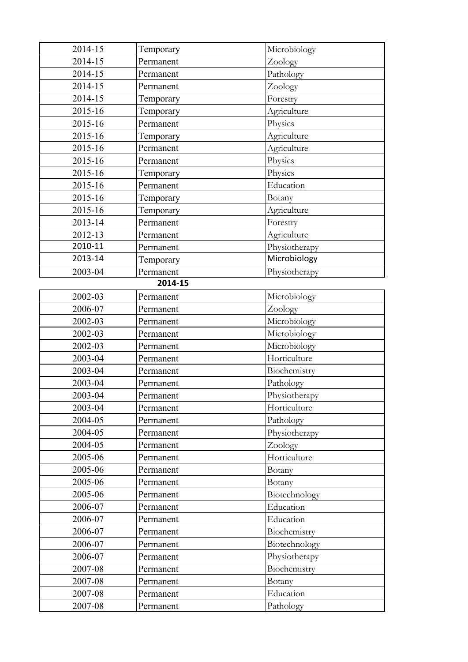| 2014-15 | Temporary | Microbiology  |
|---------|-----------|---------------|
| 2014-15 | Permanent | Zoology       |
| 2014-15 | Permanent | Pathology     |
| 2014-15 | Permanent | Zoology       |
| 2014-15 | Temporary | Forestry      |
| 2015-16 | Temporary | Agriculture   |
| 2015-16 | Permanent | Physics       |
| 2015-16 | Temporary | Agriculture   |
| 2015-16 | Permanent | Agriculture   |
| 2015-16 | Permanent | Physics       |
| 2015-16 | Temporary | Physics       |
| 2015-16 | Permanent | Education     |
| 2015-16 | Temporary | Botany        |
| 2015-16 | Temporary | Agriculture   |
| 2013-14 | Permanent | Forestry      |
| 2012-13 | Permanent | Agriculture   |
| 2010-11 | Permanent | Physiotherapy |
| 2013-14 | Temporary | Microbiology  |
| 2003-04 | Permanent | Physiotherapy |
|         | 2014-15   |               |
| 2002-03 | Permanent | Microbiology  |
| 2006-07 | Permanent | Zoology       |
| 2002-03 | Permanent | Microbiology  |

| 2006-07 | Permanent | Zoology       |
|---------|-----------|---------------|
| 2002-03 | Permanent | Microbiology  |
| 2002-03 | Permanent | Microbiology  |
| 2002-03 | Permanent | Microbiology  |
| 2003-04 | Permanent | Horticulture  |
| 2003-04 | Permanent | Biochemistry  |
| 2003-04 | Permanent | Pathology     |
| 2003-04 | Permanent | Physiotherapy |
| 2003-04 | Permanent | Horticulture  |
| 2004-05 | Permanent | Pathology     |
| 2004-05 | Permanent | Physiotherapy |
| 2004-05 | Permanent | Zoology       |
| 2005-06 | Permanent | Horticulture  |
| 2005-06 | Permanent | Botany        |
| 2005-06 | Permanent | Botany        |
| 2005-06 | Permanent | Biotechnology |
| 2006-07 | Permanent | Education     |
| 2006-07 | Permanent | Education     |
| 2006-07 | Permanent | Biochemistry  |
| 2006-07 | Permanent | Biotechnology |
| 2006-07 | Permanent | Physiotherapy |
| 2007-08 | Permanent | Biochemistry  |
| 2007-08 | Permanent | Botany        |
| 2007-08 | Permanent | Education     |
| 2007-08 | Permanent | Pathology     |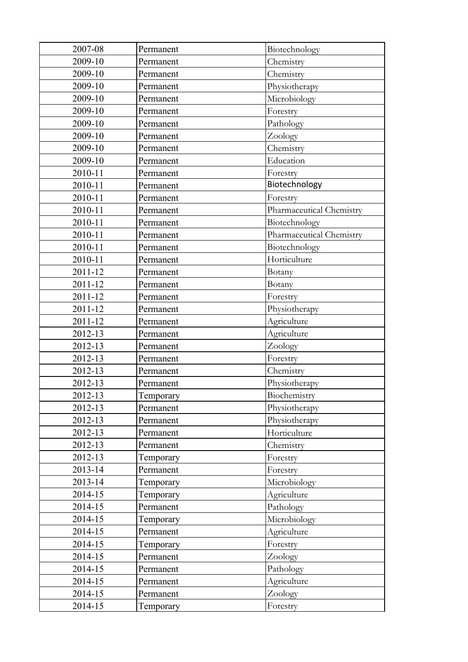| 2007-08 | Permanent | Biotechnology            |
|---------|-----------|--------------------------|
| 2009-10 | Permanent | Chemistry                |
| 2009-10 | Permanent | Chemistry                |
| 2009-10 | Permanent | Physiotherapy            |
| 2009-10 | Permanent | Microbiology             |
| 2009-10 | Permanent | Forestry                 |
| 2009-10 | Permanent | Pathology                |
| 2009-10 | Permanent | Zoology                  |
| 2009-10 | Permanent | Chemistry                |
| 2009-10 | Permanent | Education                |
| 2010-11 | Permanent | Forestry                 |
| 2010-11 | Permanent | Biotechnology            |
| 2010-11 | Permanent | Forestry                 |
| 2010-11 | Permanent | Pharmaceutical Chemistry |
| 2010-11 | Permanent | Biotechnology            |
| 2010-11 | Permanent | Pharmaceutical Chemistry |
| 2010-11 | Permanent | Biotechnology            |
| 2010-11 | Permanent | Horticulture             |
| 2011-12 | Permanent | Botany                   |
| 2011-12 | Permanent | Botany                   |
| 2011-12 | Permanent | Forestry                 |
| 2011-12 | Permanent | Physiotherapy            |
| 2011-12 | Permanent | Agriculture              |
| 2012-13 | Permanent | Agriculture              |
| 2012-13 | Permanent | Zoology                  |
| 2012-13 | Permanent | Forestry                 |
| 2012-13 | Permanent | Chemistry                |
| 2012-13 | Permanent | Physiotherapy            |
| 2012-13 | Temporary | Biochemistry             |
| 2012-13 | Permanent | Physiotherapy            |
| 2012-13 | Permanent | Physiotherapy            |
| 2012-13 | Permanent | Horticulture             |
| 2012-13 | Permanent | Chemistry                |
| 2012-13 | Temporary | Forestry                 |
| 2013-14 | Permanent | Forestry                 |
| 2013-14 | Temporary | Microbiology             |
| 2014-15 | Temporary | Agriculture              |
| 2014-15 | Permanent | Pathology                |
| 2014-15 | Temporary | Microbiology             |
| 2014-15 | Permanent | Agriculture              |
| 2014-15 | Temporary | Forestry                 |
| 2014-15 | Permanent | Zoology                  |
| 2014-15 | Permanent | Pathology                |
| 2014-15 | Permanent | Agriculture              |
| 2014-15 | Permanent | Zoology                  |
| 2014-15 | Temporary | Forestry                 |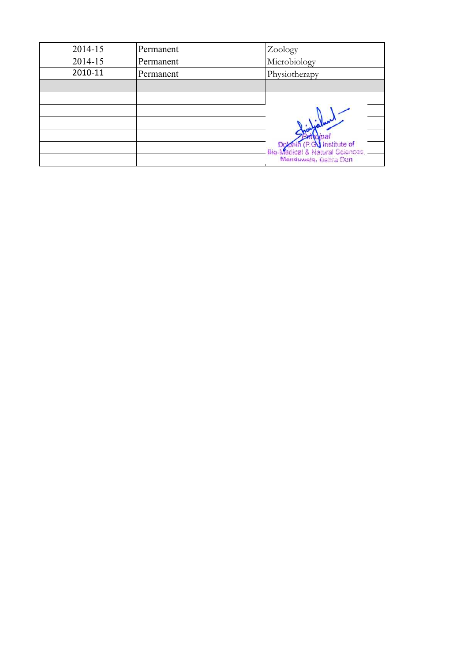| 2014-15 | Permanent | Zoology                                                    |
|---------|-----------|------------------------------------------------------------|
| 2014-15 | Permanent | Microbiology                                               |
| 2010-11 | Permanent | Physiotherapy                                              |
|         |           |                                                            |
|         |           |                                                            |
|         |           |                                                            |
|         |           |                                                            |
|         |           |                                                            |
|         |           | <b>GV</b> Institute of<br>ical & Natural Sciences,<br>Bio. |
|         |           | Manduwala, Dehra Dun                                       |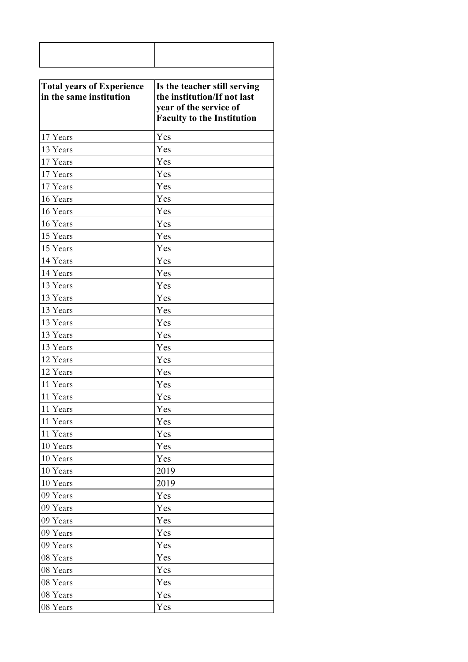| <b>Total years of Experience</b><br>in the same institution | Is the teacher still serving<br>the institution/If not last<br>year of the service of<br><b>Faculty to the Institution</b> |
|-------------------------------------------------------------|----------------------------------------------------------------------------------------------------------------------------|
| 17 Years                                                    | Yes                                                                                                                        |
| 13 Years                                                    | Yes                                                                                                                        |
| 17 Years                                                    | Yes                                                                                                                        |
| 17 Years                                                    | Yes                                                                                                                        |
| 17 Years                                                    | Yes                                                                                                                        |
| 16 Years                                                    | Yes                                                                                                                        |
| 16 Years                                                    | Yes                                                                                                                        |
| 16 Years                                                    | Yes                                                                                                                        |
| 15 Years                                                    | Yes                                                                                                                        |
| 15 Years                                                    | Yes                                                                                                                        |
| 14 Years                                                    | Yes                                                                                                                        |
| 14 Years                                                    | Yes                                                                                                                        |
| 13 Years                                                    | Yes                                                                                                                        |
| 13 Years                                                    | Yes                                                                                                                        |
| 13 Years                                                    | Yes                                                                                                                        |
| 13 Years                                                    | Yes                                                                                                                        |
| 13 Years                                                    | Yes                                                                                                                        |
| 13 Years                                                    | Yes                                                                                                                        |
| 12 Years                                                    | Yes                                                                                                                        |
| 12 Years                                                    | Yes                                                                                                                        |
| 11 Years                                                    | Yes                                                                                                                        |
| 11 Years                                                    | Yes                                                                                                                        |
| 11 Years                                                    | Yes                                                                                                                        |
| 11 Years                                                    | Yes                                                                                                                        |
| 11 Years                                                    | Yes                                                                                                                        |
| 10 Years                                                    | Yes                                                                                                                        |
| 10 Years                                                    | Yes                                                                                                                        |
| 10 Years                                                    | 2019                                                                                                                       |
| 10 Years                                                    | 2019                                                                                                                       |
| 09 Years                                                    | Yes                                                                                                                        |
| 09 Years                                                    | Yes                                                                                                                        |
| 09 Years                                                    | Yes                                                                                                                        |
| 09 Years                                                    | Yes                                                                                                                        |
| 09 Years                                                    | Yes                                                                                                                        |
| 08 Years                                                    | Yes                                                                                                                        |
| 08 Years                                                    | Yes                                                                                                                        |
| 08 Years                                                    | Yes                                                                                                                        |
| 08 Years                                                    | Yes                                                                                                                        |
| 08 Years                                                    | Yes                                                                                                                        |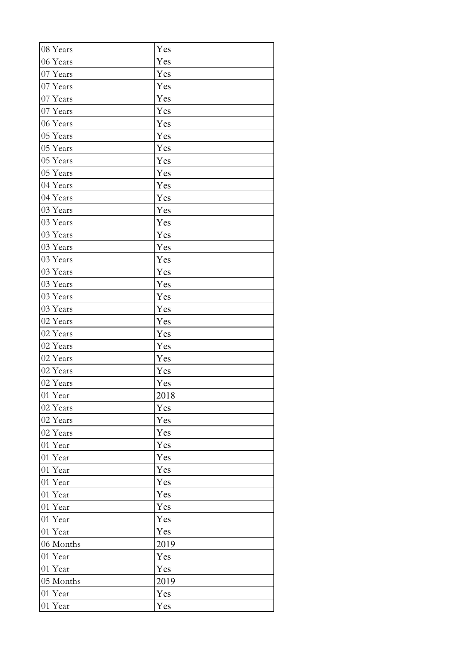| 08 Years  | Yes  |
|-----------|------|
| 06 Years  | Yes  |
| 07 Years  | Yes  |
| 07 Years  | Yes  |
| 07 Years  | Yes  |
| 07 Years  | Yes  |
| 06 Years  | Yes  |
| 05 Years  | Yes  |
| 05 Years  | Yes  |
| 05 Years  | Yes  |
| 05 Years  | Yes  |
| 04 Years  | Yes  |
| 04 Years  | Yes  |
| 03 Years  | Yes  |
| 03 Years  | Yes  |
| 03 Years  | Yes  |
| 03 Years  | Yes  |
| 03 Years  | Yes  |
| 03 Years  | Yes  |
| 03 Years  | Yes  |
| 03 Years  | Yes  |
| 03 Years  | Yes  |
| 02 Years  | Yes  |
| 02 Years  | Yes  |
| 02 Years  | Yes  |
| 02 Years  | Yes  |
| 02 Years  | Yes  |
| 02 Years  | Yes  |
| 01 Year   | 2018 |
| 02 Years  | Yes  |
| 02 Years  | Yes  |
| 02 Years  | Yes  |
| 01 Year   | Yes  |
| 01 Year   | Yes  |
| 01 Year   | Yes  |
| 01 Year   | Yes  |
| 01 Year   | Yes  |
| 01 Year   | Yes  |
| 01 Year   | Yes  |
| 01 Year   | Yes  |
| 06 Months | 2019 |
| 01 Year   | Yes  |
| 01 Year   | Yes  |
| 05 Months | 2019 |
| 01 Year   | Yes  |
| 01 Year   | Yes  |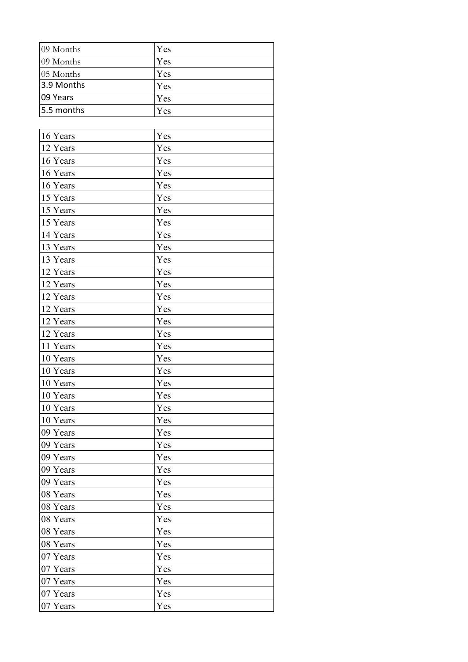| 09 Months  | Yes |
|------------|-----|
| 09 Months  | Yes |
| 05 Months  | Yes |
| 3.9 Months | Yes |
| 09 Years   | Yes |
| 5.5 months | Yes |
|            |     |
| 16 Years   | Yes |
| 12 Years   | Yes |
| 16 Years   | Yes |
| 16 Years   | Yes |
| 16 Years   | Yes |
| 15 Years   | Yes |
| 15 Years   | Yes |
| 15 Years   | Yes |
| 14 Years   | Yes |
| 13 Years   | Yes |
| 13 Years   | Yes |
| 12 Years   | Yes |
| 12 Years   | Yes |
| 12 Years   | Yes |
| 12 Years   | Yes |
| 12 Years   | Yes |
| 12 Years   | Yes |
| 11 Years   | Yes |
| 10 Years   | Yes |
| 10 Years   | Yes |
| 10 Years   | Yes |
| 10 Years   | Yes |
| 10 Years   | Yes |
| 10 Years   | Yes |
| 09 Years   | Yes |
| 09 Years   | Yes |
| 09 Years   | Yes |
| 09 Years   | Yes |
| 09 Years   | Yes |
| 08 Years   | Yes |
| 08 Years   | Yes |
| 08 Years   | Yes |
| 08 Years   | Yes |
| 08 Years   | Yes |
| 07 Years   | Yes |
| 07 Years   | Yes |
| 07 Years   | Yes |
| 07 Years   | Yes |
| 07 Years   | Yes |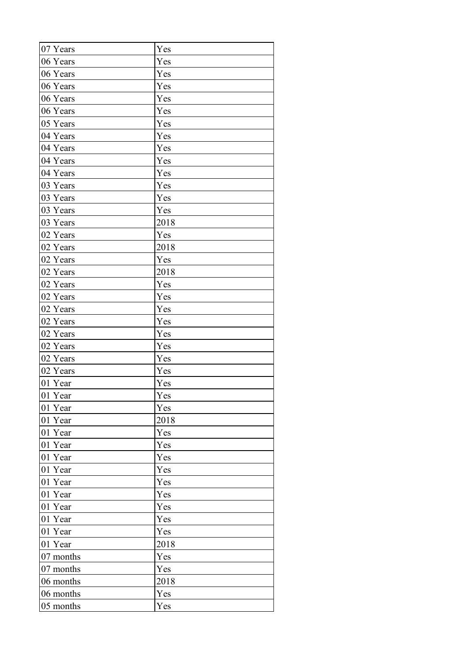| 07 Years  | Yes  |
|-----------|------|
| 06 Years  | Yes  |
| 06 Years  | Yes  |
| 06 Years  | Yes  |
| 06 Years  | Yes  |
| 06 Years  | Yes  |
| 05 Years  | Yes  |
| 04 Years  | Yes  |
| 04 Years  | Yes  |
| 04 Years  | Yes  |
| 04 Years  | Yes  |
| 03 Years  | Yes  |
| 03 Years  | Yes  |
| 03 Years  | Yes  |
| 03 Years  | 2018 |
| 02 Years  | Yes  |
| 02 Years  | 2018 |
| 02 Years  | Yes  |
| 02 Years  | 2018 |
| 02 Years  | Yes  |
| 02 Years  | Yes  |
| 02 Years  | Yes  |
| 02 Years  | Yes  |
| 02 Years  | Yes  |
| 02 Years  | Yes  |
| 02 Years  | Yes  |
| 02 Years  | Yes  |
| 01 Year   | Yes  |
| 01 Year   | Yes  |
| 01 Year   | Yes  |
| 01 Year   | 2018 |
| 01 Year   | Yes  |
| 01 Year   | Yes  |
| 01 Year   | Yes  |
| 01 Year   | Yes  |
| 01 Year   | Yes  |
| 01 Year   | Yes  |
| 01 Year   | Yes  |
| 01 Year   | Yes  |
| 01 Year   | Yes  |
| 01 Year   | 2018 |
| 07 months | Yes  |
| 07 months | Yes  |
| 06 months | 2018 |
| 06 months | Yes  |
| 05 months | Yes  |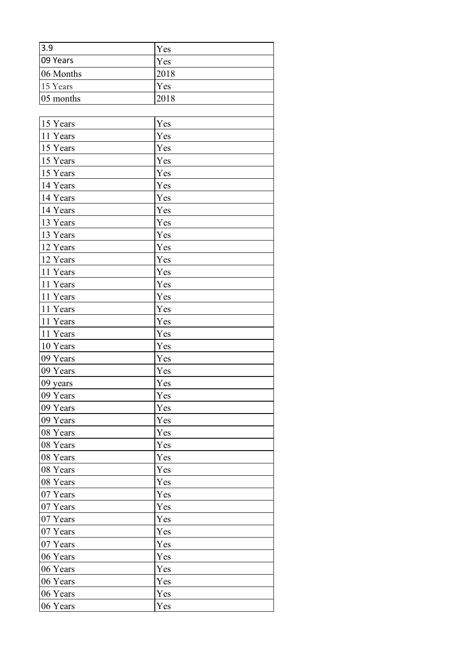| 3.9       | Yes  |
|-----------|------|
| 09 Years  | Yes  |
| 06 Months | 2018 |
| 15 Years  | Yes  |
| 05 months | 2018 |
|           |      |
| 15 Years  | Yes  |
| 11 Years  | Yes  |
| 15 Years  | Yes  |
| 15 Years  | Yes  |
| 15 Years  | Yes  |
| 14 Years  | Yes  |
| 14 Years  | Yes  |
| 14 Years  | Yes  |
| 13 Years  | Yes  |
| 13 Years  | Yes  |
| 12 Years  | Yes  |
| 12 Years  | Yes  |
| 11 Years  | Yes  |
| 11 Years  | Yes  |
| 11 Years  | Yes  |
| 11 Years  | Yes  |
| 11 Years  | Yes  |
| 11 Years  | Yes  |
| 10 Years  | Yes  |
| 09 Years  | Yes  |
| 09 Years  | Yes  |
| 09 years  | Yes  |
| 09 Years  | Yes  |
| 09 Years  | Yes  |
| 09 Years  | Yes  |
| 08 Years  | Yes  |
| 08 Years  | Yes  |
| 08 Years  | Yes  |
| 08 Years  | Yes  |
| 08 Years  | Yes  |
| 07 Years  | Yes  |
| 07 Years  | Yes  |
| 07 Years  | Yes  |
| 07 Years  | Yes  |
| 07 Years  | Yes  |
| 06 Years  | Yes  |
| 06 Years  | Yes  |
| 06 Years  | Yes  |
| 06 Years  | Yes  |
| 06 Years  | Yes  |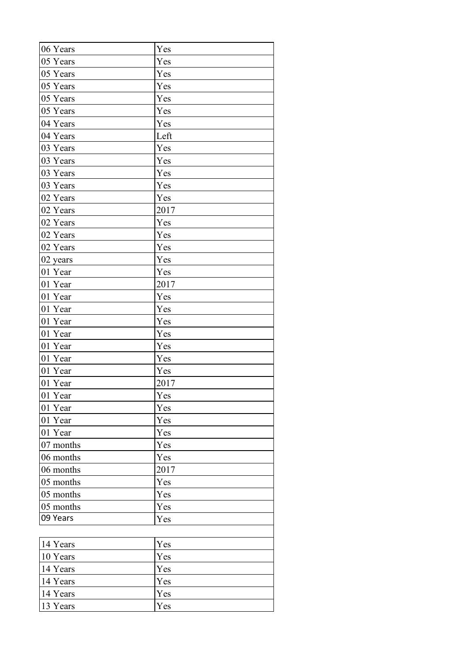| 06 Years  | Yes  |
|-----------|------|
| 05 Years  | Yes  |
| 05 Years  | Yes  |
| 05 Years  | Yes  |
| 05 Years  | Yes  |
| 05 Years  | Yes  |
| 04 Years  | Yes  |
| 04 Years  | Left |
| 03 Years  | Yes  |
| 03 Years  | Yes  |
| 03 Years  | Yes  |
| 03 Years  | Yes  |
| 02 Years  | Yes  |
| 02 Years  | 2017 |
| 02 Years  | Yes  |
| 02 Years  | Yes  |
| 02 Years  | Yes  |
| 02 years  | Yes  |
| 01 Year   | Yes  |
| 01 Year   | 2017 |
| 01 Year   | Yes  |
| 01 Year   | Yes  |
| 01 Year   | Yes  |
| 01 Year   | Yes  |
| 01 Year   | Yes  |
| 01 Year   | Yes  |
| 01 Year   | Yes  |
| 01 Year   | 2017 |
| 01 Year   | Yes  |
| 01 Year   | Yes  |
| 01 Year   | Yes  |
| 01 Year   | Yes  |
| 07 months | Yes  |
| 06 months | Yes  |
| 06 months | 2017 |
| 05 months | Yes  |
| 05 months | Yes  |
| 05 months | Yes  |
| 09 Years  | Yes  |
|           |      |
| 14 Years  | Yes  |
| 10 Years  | Yes  |
| 14 Years  | Yes  |
| 14 Years  | Yes  |
| 14 Years  | Yes  |
| 13 Years  | Yes  |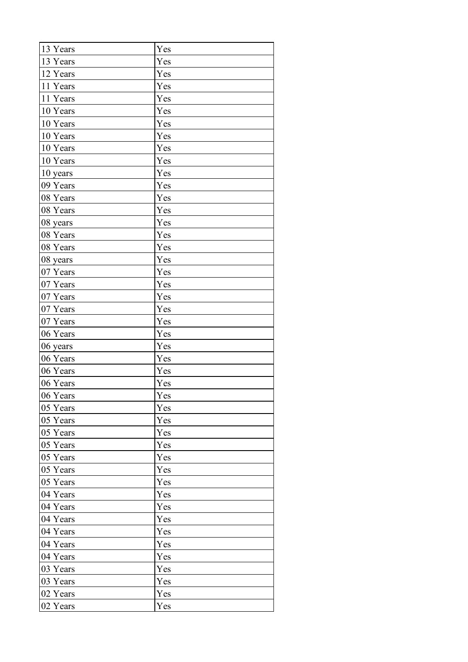| 13 Years | Yes |
|----------|-----|
| 13 Years | Yes |
| 12 Years | Yes |
| 11 Years | Yes |
| 11 Years | Yes |
| 10 Years | Yes |
| 10 Years | Yes |
| 10 Years | Yes |
| 10 Years | Yes |
| 10 Years | Yes |
| 10 years | Yes |
| 09 Years | Yes |
| 08 Years | Yes |
| 08 Years | Yes |
| 08 years | Yes |
| 08 Years | Yes |
| 08 Years | Yes |
| 08 years | Yes |
| 07 Years | Yes |
| 07 Years | Yes |
| 07 Years | Yes |
| 07 Years | Yes |
| 07 Years | Yes |
| 06 Years | Yes |
| 06 years | Yes |
| 06 Years | Yes |
| 06 Years | Yes |
| 06 Years | Yes |
| 06 Years | Yes |
| 05 Years | Yes |
| 05 Years | Yes |
| 05 Years | Yes |
| 05 Years | Yes |
| 05 Years | Yes |
| 05 Years | Yes |
| 05 Years | Yes |
| 04 Years | Yes |
| 04 Years | Yes |
| 04 Years | Yes |
| 04 Years | Yes |
| 04 Years | Yes |
| 04 Years | Yes |
| 03 Years | Yes |
| 03 Years | Yes |
| 02 Years | Yes |
| 02 Years | Yes |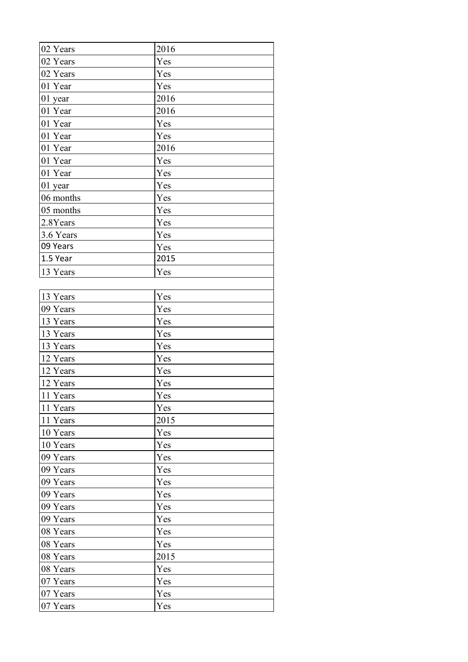| 02 Years   | 2016 |
|------------|------|
| 02 Years   | Yes  |
| 02 Years   | Yes  |
| 01 Year    | Yes  |
| 01 year    | 2016 |
| 01 Year    | 2016 |
| 01 Year    | Yes  |
| 01 Year    | Yes  |
| 01 Year    | 2016 |
| 01 Year    | Yes  |
| 01 Year    | Yes  |
| 01 year    | Yes  |
| 06 months  | Yes  |
| 05 months  | Yes  |
| 2.8Years   | Yes  |
| 3.6 Years  | Yes  |
| 09 Years   | Yes  |
| $1.5$ Year | 2015 |
| 13 Years   | Yes  |
|            |      |
| 13 Years   | Yes  |
| 09 Years   | Yes  |
| 13 Years   | Yes  |
| 13 Years   | Yes  |
| 13 Years   | Yes  |
| 12 Years   | Yes  |
| 12 Years   | Yes  |
| 12 Years   | Yes  |
| 11 Years   | Yes  |
| 11 Years   | Yes  |
| 11 Years   | 2015 |
| 10 Years   | Yes  |
| 10 Years   | Yes  |
| 09 Years   | Yes  |
| 09 Years   | Yes  |
| 09 Years   | Yes  |
| 09 Years   | Yes  |
| 09 Years   | Yes  |
| 09 Years   | Yes  |
| 08 Years   | Yes  |
| 08 Years   | Yes  |
| 08 Years   | 2015 |
| 08 Years   | Yes  |
| 07 Years   | Yes  |
| 07 Years   | Yes  |
| 07 Years   | Yes  |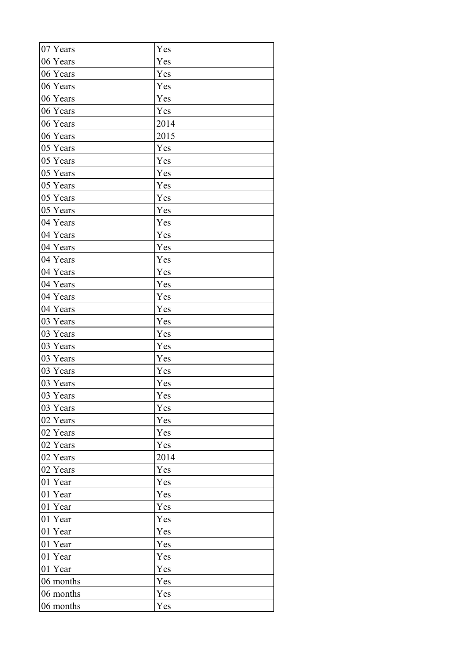| 07 Years  | Yes  |
|-----------|------|
| 06 Years  | Yes  |
| 06 Years  | Yes  |
| 06 Years  | Yes  |
| 06 Years  | Yes  |
| 06 Years  | Yes  |
| 06 Years  | 2014 |
| 06 Years  | 2015 |
| 05 Years  | Yes  |
| 05 Years  | Yes  |
| 05 Years  | Yes  |
| 05 Years  | Yes  |
| 05 Years  | Yes  |
| 05 Years  | Yes  |
| 04 Years  | Yes  |
| 04 Years  | Yes  |
| 04 Years  | Yes  |
| 04 Years  | Yes  |
| 04 Years  | Yes  |
| 04 Years  | Yes  |
| 04 Years  | Yes  |
| 04 Years  | Yes  |
| 03 Years  | Yes  |
| 03 Years  | Yes  |
| 03 Years  | Yes  |
| 03 Years  | Yes  |
| 03 Years  | Yes  |
| 03 Years  | Yes  |
| 03 Years  | Yes  |
| 03 Years  | Yes  |
| 02 Years  | Yes  |
| 02 Years  | Yes  |
| 02 Years  | Yes  |
| 02 Years  | 2014 |
| 02 Years  | Yes  |
| 01 Year   | Yes  |
| 01 Year   | Yes  |
| 01 Year   | Yes  |
| 01 Year   | Yes  |
| 01 Year   | Yes  |
| 01 Year   | Yes  |
| 01 Year   | Yes  |
| 01 Year   | Yes  |
| 06 months | Yes  |
| 06 months | Yes  |
| 06 months | Yes  |